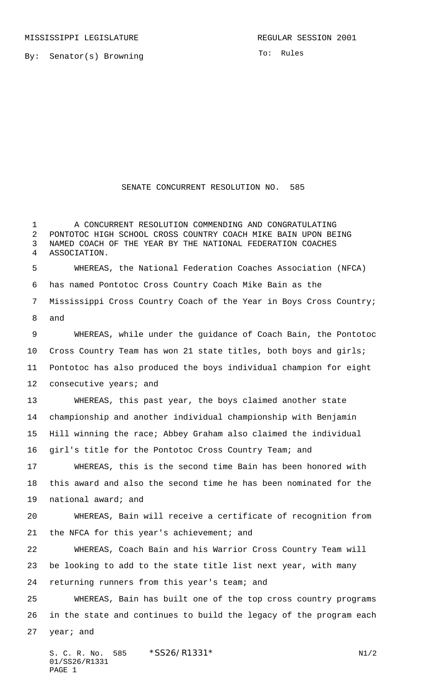By: Senator(s) Browning

To: Rules

## SENATE CONCURRENT RESOLUTION NO. 585

 A CONCURRENT RESOLUTION COMMENDING AND CONGRATULATING PONTOTOC HIGH SCHOOL CROSS COUNTRY COACH MIKE BAIN UPON BEING NAMED COACH OF THE YEAR BY THE NATIONAL FEDERATION COACHES ASSOCIATION. WHEREAS, the National Federation Coaches Association (NFCA) has named Pontotoc Cross Country Coach Mike Bain as the Mississippi Cross Country Coach of the Year in Boys Cross Country; and WHEREAS, while under the guidance of Coach Bain, the Pontotoc Cross Country Team has won 21 state titles, both boys and girls; Pontotoc has also produced the boys individual champion for eight 12 consecutive years; and WHEREAS, this past year, the boys claimed another state championship and another individual championship with Benjamin Hill winning the race; Abbey Graham also claimed the individual girl's title for the Pontotoc Cross Country Team; and WHEREAS, this is the second time Bain has been honored with this award and also the second time he has been nominated for the national award; and WHEREAS, Bain will receive a certificate of recognition from the NFCA for this year's achievement; and WHEREAS, Coach Bain and his Warrior Cross Country Team will be looking to add to the state title list next year, with many returning runners from this year's team; and WHEREAS, Bain has built one of the top cross country programs in the state and continues to build the legacy of the program each year; and